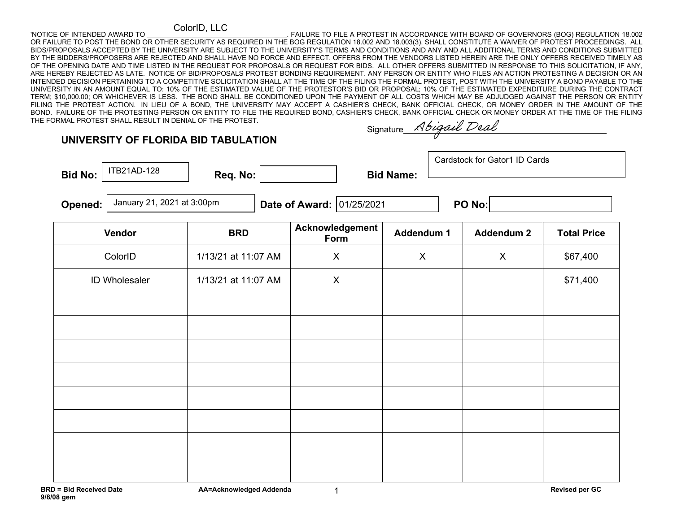## ColorID, LLC

'NOTICE OF INTENDED AWARD TO \_\_\_\_\_\_\_\_\_\_\_\_\_\_\_\_\_\_\_\_\_\_\_\_\_\_\_\_\_\_\_\_\_\_\_\_\_. FAILURE TO FILE A PROTEST IN ACCORDANCE WITH BOARD OF GOVERNORS (BOG) REGULATION 18.002 OR FAILURE TO POST THE BOND OR OTHER SECURITY AS REQUIRED IN THE BOG REGULATION 18.002 AND 18.003(3), SHALL CONSTITUTE A WAIVER OF PROTEST PROCEEDINGS. ALL BIDS/PROPOSALS ACCEPTED BY THE UNIVERSITY ARE SUBJECT TO THE UNIVERSITY'S TERMS AND CONDITIONS AND ANY AND ALL ADDITIONAL TERMS AND CONDITIONS SUBMITTED BY THE BIDDERS/PROPOSERS ARE REJECTED AND SHALL HAVE NO FORCE AND EFFECT. OFFERS FROM THE VENDORS LISTED HEREIN ARE THE ONLY OFFERS RECEIVED TIMELY AS OF THE OPENING DATE AND TIME LISTED IN THE REQUEST FOR PROPOSALS OR REQUEST FOR BIDS. ALL OTHER OFFERS SUBMITTED IN RESPONSE TO THIS SOLICITATION, IF ANY, ARE HEREBY REJECTED AS LATE. NOTICE OF BID/PROPOSALS PROTEST BONDING REQUIREMENT. ANY PERSON OR ENTITY WHO FILES AN ACTION PROTESTING A DECISION OR AN INTENDED DECISION PERTAINING TO A COMPETITIVE SOLICITATION SHALL AT THE TIME OF THE FILING THE FORMAL PROTEST, POST WITH THE UNIVERSITY A BOND PAYABLE TO THE UNIVERSITY IN AN AMOUNT EQUAL TO: 10% OF THE ESTIMATED VALUE OF THE PROTESTOR'S BID OR PROPOSAL; 10% OF THE ESTIMATED EXPENDITURE DURING THE CONTRACT TERM; \$10,000.00; OR WHICHEVER IS LESS. THE BOND SHALL BE CONDITIONED UPON THE PAYMENT OF ALL COSTS WHICH MAY BE ADJUDGED AGAINST THE PERSON OR ENTITY FILING THE PROTEST ACTION. IN LIEU OF A BOND, THE UNIVERSITY MAY ACCEPT A CASHIER'S CHECK, BANK OFFICIAL CHECK, OR MONEY ORDER IN THE AMOUNT OF THE BOND. FAILURE OF THE PROTESTING PERSON OR ENTITY TO FILE THE REQUIRED BOND, CASHIER'S CHECK, BANK OFFICIAL CHECK OR MONEY ORDER AT THE TIME OF THE FILING THE FORMAL PROTEST SHALL RESULT IN DENIAL OF THE PROTEST. Abigail Deal

## **UNIVERSITY OF FLORIDA BID TABULATION**

Bid No: **Bid Name: Req. No:** | Bid Name: ITB21AD-128

**Signature** 

January 21, 2021 at 3:00pm

**Opened: Date of Award: PO No:**  01/25/2021

Cardstock for Gator1 ID Cards

| Vendor        | <b>BRD</b>          | Acknowledgement<br>Form | Addendum 1       | <b>Addendum 2</b> | <b>Total Price</b> |
|---------------|---------------------|-------------------------|------------------|-------------------|--------------------|
| ColorID       | 1/13/21 at 11:07 AM | $\pmb{\mathsf{X}}$      | $\boldsymbol{X}$ | $\mathsf{X}$      | \$67,400           |
| ID Wholesaler | 1/13/21 at 11:07 AM | $\mathsf{X}$            |                  |                   | \$71,400           |
|               |                     |                         |                  |                   |                    |
|               |                     |                         |                  |                   |                    |
|               |                     |                         |                  |                   |                    |
|               |                     |                         |                  |                   |                    |
|               |                     |                         |                  |                   |                    |
|               |                     |                         |                  |                   |                    |
|               |                     |                         |                  |                   |                    |
|               |                     |                         |                  |                   |                    |

1